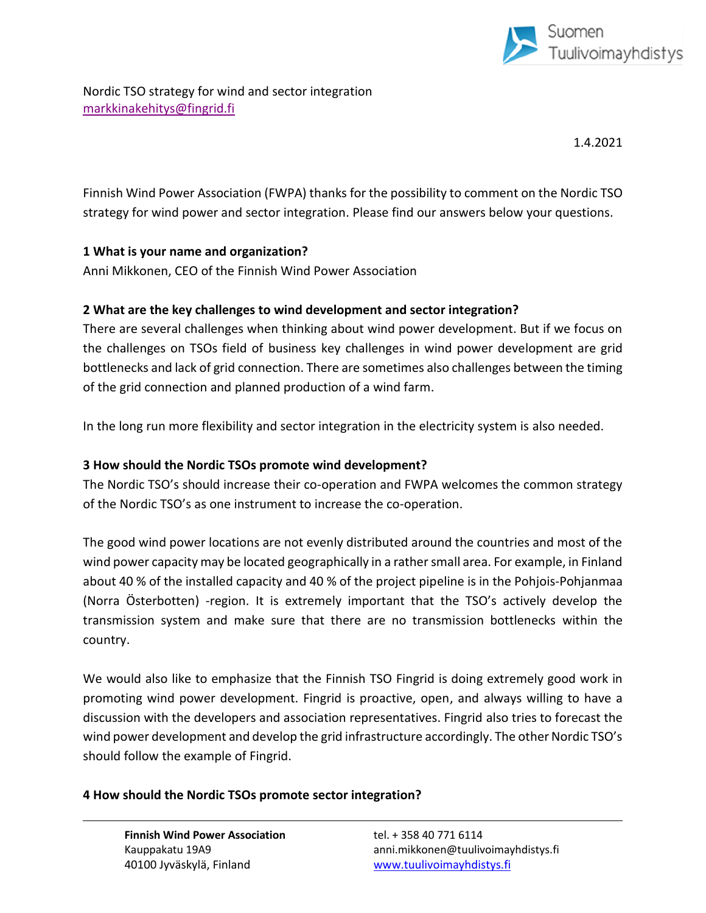

Nordic TSO strategy for wind and sector integration [markkinakehitys@fingrid.fi](mailto:markkinakehitys@fingrid.fi)

1.4.2021

Finnish Wind Power Association (FWPA) thanks for the possibility to comment on the Nordic TSO strategy for wind power and sector integration. Please find our answers below your questions.

## **1 What is your name and organization?**

Anni Mikkonen, CEO of the Finnish Wind Power Association

### **2 What are the key challenges to wind development and sector integration?**

There are several challenges when thinking about wind power development. But if we focus on the challenges on TSOs field of business key challenges in wind power development are grid bottlenecks and lack of grid connection. There are sometimes also challenges between the timing of the grid connection and planned production of a wind farm.

In the long run more flexibility and sector integration in the electricity system is also needed.

#### **3 How should the Nordic TSOs promote wind development?**

The Nordic TSO's should increase their co-operation and FWPA welcomes the common strategy of the Nordic TSO's as one instrument to increase the co-operation.

The good wind power locations are not evenly distributed around the countries and most of the wind power capacity may be located geographically in a rather small area. For example, in Finland about 40 % of the installed capacity and 40 % of the project pipeline is in the Pohjois-Pohjanmaa (Norra Österbotten) -region. It is extremely important that the TSO's actively develop the transmission system and make sure that there are no transmission bottlenecks within the country.

We would also like to emphasize that the Finnish TSO Fingrid is doing extremely good work in promoting wind power development. Fingrid is proactive, open, and always willing to have a discussion with the developers and association representatives. Fingrid also tries to forecast the wind power development and develop the grid infrastructure accordingly. The other Nordic TSO's should follow the example of Fingrid.

#### **4 How should the Nordic TSOs promote sector integration?**

**Finnish Wind Power Association** tel. + 358 40 771 6114 40100 Jyväskylä, Finland [www.tuulivoimayhdistys.fi](http://www.tuulivoimayhdistys.fi/)